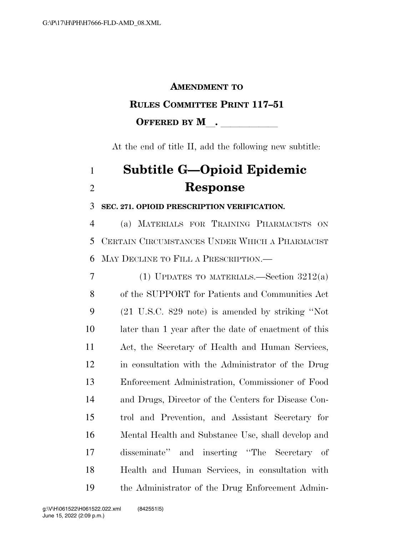## **AMENDMENT TO**

### **RULES COMMITTEE PRINT 117–51**

# **OFFERED BY M**.

At the end of title II, add the following new subtitle:

# **Subtitle G—Opioid Epidemic Response**

### **SEC. 271. OPIOID PRESCRIPTION VERIFICATION.**

 (a) MATERIALS FOR TRAINING PHARMACISTS ON CERTAIN CIRCUMSTANCES UNDER WHICH A PHARMACIST MAY DECLINE TO FILL A PRESCRIPTION.—

7 (1) UPDATES TO MATERIALS.—Section  $3212(a)$  of the SUPPORT for Patients and Communities Act (21 U.S.C. 829 note) is amended by striking ''Not later than 1 year after the date of enactment of this Act, the Secretary of Health and Human Services, in consultation with the Administrator of the Drug Enforcement Administration, Commissioner of Food and Drugs, Director of the Centers for Disease Con- trol and Prevention, and Assistant Secretary for Mental Health and Substance Use, shall develop and disseminate'' and inserting ''The Secretary of Health and Human Services, in consultation with the Administrator of the Drug Enforcement Admin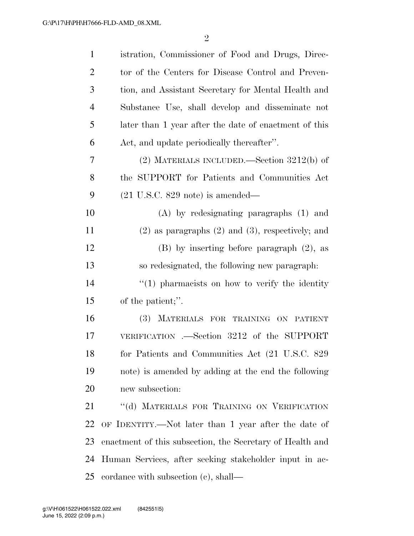| $\mathbf{1}$   | istration, Commissioner of Food and Drugs, Direc-         |
|----------------|-----------------------------------------------------------|
| $\overline{2}$ | tor of the Centers for Disease Control and Preven-        |
| 3              | tion, and Assistant Secretary for Mental Health and       |
| $\overline{4}$ | Substance Use, shall develop and disseminate not          |
| 5              | later than 1 year after the date of enactment of this     |
| 6              | Act, and update periodically thereafter".                 |
| 7              | (2) MATERIALS INCLUDED.—Section $3212(b)$ of              |
| 8              | the SUPPORT for Patients and Communities Act              |
| 9              | $(21 \text{ U.S.C. } 829 \text{ note})$ is amended—       |
| 10             | $(A)$ by redesignating paragraphs $(1)$ and               |
| 11             | $(2)$ as paragraphs $(2)$ and $(3)$ , respectively; and   |
| 12             | $(B)$ by inserting before paragraph $(2)$ , as            |
| 13             | so redesignated, the following new paragraph:             |
| 14             | $\lq(1)$ pharmacists on how to verify the identity        |
| 15             | of the patient;".                                         |
| 16             | (3) MATERIALS FOR TRAINING ON PATIENT                     |
| 17             | VERIFICATION .—Section 3212 of the SUPPORT                |
| 18             | for Patients and Communities Act (21 U.S.C. 829           |
| 19             | note) is amended by adding at the end the following       |
| 20             | new subsection:                                           |
| 21             | "(d) MATERIALS FOR TRAINING ON VERIFICATION               |
| 22             | OF IDENTITY.—Not later than 1 year after the date of      |
| 23             | enactment of this subsection, the Secretary of Health and |
| 24             | Human Services, after seeking stakeholder input in ac-    |
| 25             | cordance with subsection $(c)$ , shall—                   |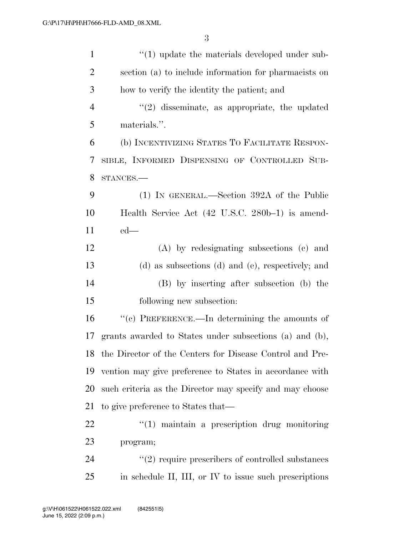| $\mathbf{1}$   | $\lq(1)$ update the materials developed under sub-          |
|----------------|-------------------------------------------------------------|
| $\overline{2}$ | section (a) to include information for pharmacists on       |
| 3              | how to verify the identity the patient; and                 |
| $\overline{4}$ | $"(2)$ disseminate, as appropriate, the updated             |
| 5              | materials.".                                                |
| 6              | (b) INCENTIVIZING STATES TO FACILITATE RESPON-              |
| 7              | SIBLE, INFORMED DISPENSING OF CONTROLLED SUB-               |
| 8              | STANCES.                                                    |
| 9              | (1) IN GENERAL.—Section 392A of the Public                  |
| 10             | Health Service Act (42 U.S.C. 280b–1) is amend-             |
| 11             | $ed$ —                                                      |
| 12             | (A) by redesignating subsections (c) and                    |
| 13             | (d) as subsections (d) and (e), respectively; and           |
| 14             | (B) by inserting after subsection (b) the                   |
| 15             | following new subsection:                                   |
| 16             | "(c) PREFERENCE.—In determining the amounts of              |
| 17             | grants awarded to States under subsections (a) and (b),     |
|                | 18 the Director of the Centers for Disease Control and Pre- |
| 19             | vention may give preference to States in accordance with    |
| 20             | such criteria as the Director may specify and may choose    |
| 21             | to give preference to States that—                          |
| 22             | $\lq(1)$ maintain a prescription drug monitoring            |
| 23             | program;                                                    |
| 24             | $\lq(2)$ require prescribers of controlled substances       |
| 25             | in schedule II, III, or IV to issue such prescriptions      |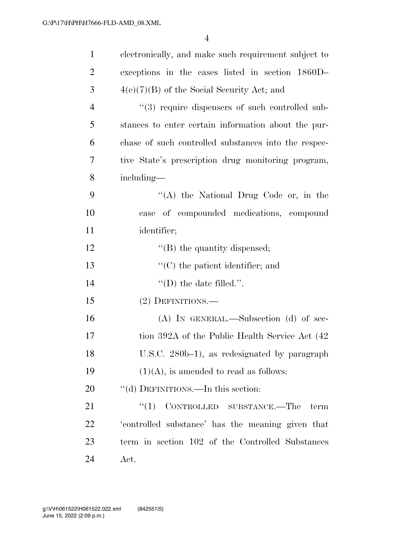| $\mathbf{1}$   | electronically, and make such requirement subject to |
|----------------|------------------------------------------------------|
| 2              | exceptions in the cases listed in section 1860D-     |
| 3              | $4(e)(7)(B)$ of the Social Security Act; and         |
| $\overline{4}$ | "(3) require dispensers of such controlled sub-      |
| 5              | stances to enter certain information about the pur-  |
| 6              | chase of such controlled substances into the respec- |
| 7              | tive State's prescription drug monitoring program,   |
| 8              | including—                                           |
| 9              | "(A) the National Drug Code or, in the               |
| 10             | case of compounded medications, compound             |
| 11             | identifier;                                          |
| 12             | $\lq\lq$ (B) the quantity dispensed;                 |
| 13             | $\lq\lq$ (C) the patient identifier; and             |
| 14             | $\lq\lq$ (D) the date filled.".                      |
| 15             | (2) DEFINITIONS.—                                    |
| 16             | $(A)$ In GENERAL.—Subsection $(d)$ of sec-           |
| 17             | tion 392A of the Public Health Service Act (42)      |
| 18             | U.S.C. 280b-1), as redesignated by paragraph         |
| 19             | $(1)(A)$ , is amended to read as follows:            |
| 20             | "(d) DEFINITIONS.—In this section:                   |
| 21             | CONTROLLED SUBSTANCE.—The<br>(1)<br>term             |
| 22             | 'controlled substance' has the meaning given that    |
| 23             | term in section 102 of the Controlled Substances     |
| 24             | Act.                                                 |